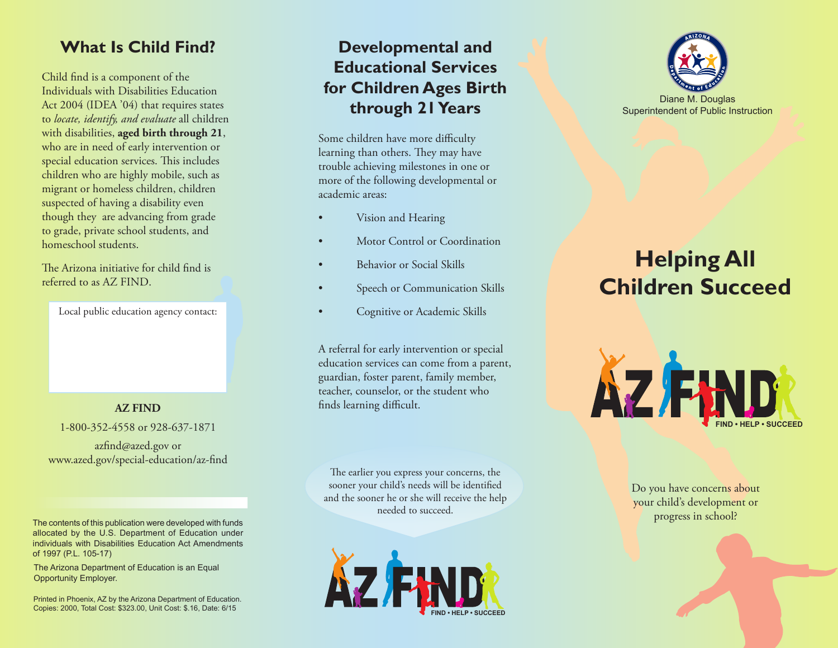#### **What Is Child Find?**

Child find is a component of the Individuals with Disabilities Education Act 2004 (IDEA '04) that requires states to *locate, identify, and evaluate* all children with disabilities, **aged birth through 21**, who are in need of early intervention or special education services. This includes children who are highly mobile, such as migrant or homeless children, children suspected of having a disability even though they are advancing from grade to grade, private school students, and homeschool students.

The Arizona initiative for child find is referred to as AZ FIND.

Local public education agency contact:

1-800-352-4558 or 928-637-1871

azfind@azed.gov or www.azed.gov/special-education/az-find

The contents of this publication were developed with funds allocated by the U.S. Department of Education under individuals with Disabilities Education Act Amendments of 1997 (P.L. 105-17)

The Arizona Department of Education is an Equal Opportunity Employer.

Printed in Phoenix, AZ by the Arizona Department of Education. Copies: 2000, Total Cost: \$323.00, Unit Cost: \$.16, Date: 6/15

#### **Developmental and Educational Services for Children Ages Birth through 21 Years**

Some children have more difficulty learning than others. They may have trouble achieving milestones in one or more of the following developmental or academic areas:

- Vision and Hearing
- Motor Control or Coordination
- Behavior or Social Skills
- Speech or Communication Skills
- Cognitive or Academic Skills

A referral for early intervention or special education services can come from a parent, guardian, foster parent, family member, teacher, counselor, or the student who **AZ FIND** finds learning difficult.

> The earlier you express your concerns, the sooner your child's needs will be identified and the sooner he or she will receive the help needed to succeed.





# **Helping All Children Succeed**



Do you have concerns about your child's development or progress in school?